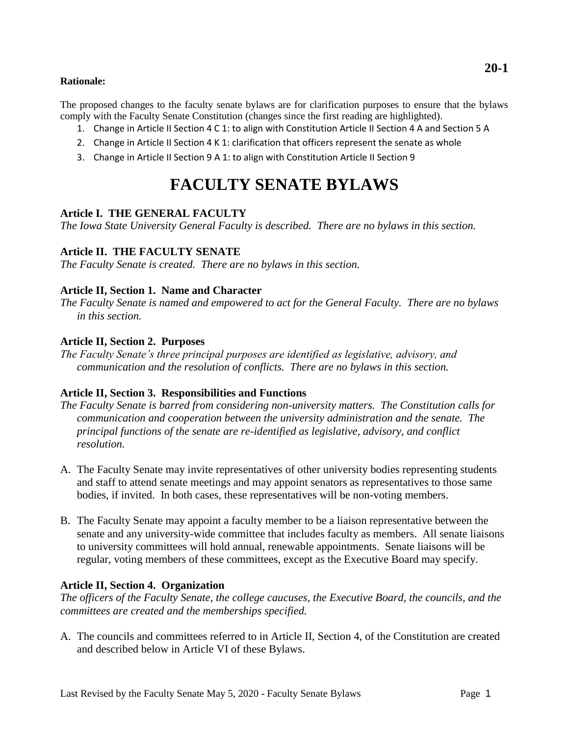#### **Rationale:**

The proposed changes to the faculty senate bylaws are for clarification purposes to ensure that the bylaws comply with the Faculty Senate Constitution (changes since the first reading are highlighted).

- 1. Change in Article II Section 4 C 1: to align with Constitution Article II Section 4 A and Section 5 A
- 2. Change in Article II Section 4 K 1: clarification that officers represent the senate as whole
- 3. Change in Article II Section 9 A 1: to align with Constitution Article II Section 9

# **FACULTY SENATE BYLAWS**

# **Article I. THE GENERAL FACULTY**

*The Iowa State University General Faculty is described. There are no bylaws in this section.*

#### **Article II. THE FACULTY SENATE**

*The Faculty Senate is created. There are no bylaws in this section.*

#### **Article II, Section 1. Name and Character**

*The Faculty Senate is named and empowered to act for the General Faculty. There are no bylaws in this section.*

#### **Article II, Section 2. Purposes**

*The Faculty Senate's three principal purposes are identified as legislative, advisory, and communication and the resolution of conflicts. There are no bylaws in this section.*

# **Article II, Section 3. Responsibilities and Functions**

- *The Faculty Senate is barred from considering non-university matters. The Constitution calls for communication and cooperation between the university administration and the senate. The principal functions of the senate are re-identified as legislative, advisory, and conflict resolution.*
- A. The Faculty Senate may invite representatives of other university bodies representing students and staff to attend senate meetings and may appoint senators as representatives to those same bodies, if invited. In both cases, these representatives will be non-voting members.
- B. The Faculty Senate may appoint a faculty member to be a liaison representative between the senate and any university-wide committee that includes faculty as members. All senate liaisons to university committees will hold annual, renewable appointments. Senate liaisons will be regular, voting members of these committees, except as the Executive Board may specify.

# **Article II, Section 4. Organization**

*The officers of the Faculty Senate, the college caucuses, the Executive Board, the councils, and the committees are created and the memberships specified.*

A. The councils and committees referred to in Article II, Section 4, of the Constitution are created and described below in Article VI of these Bylaws.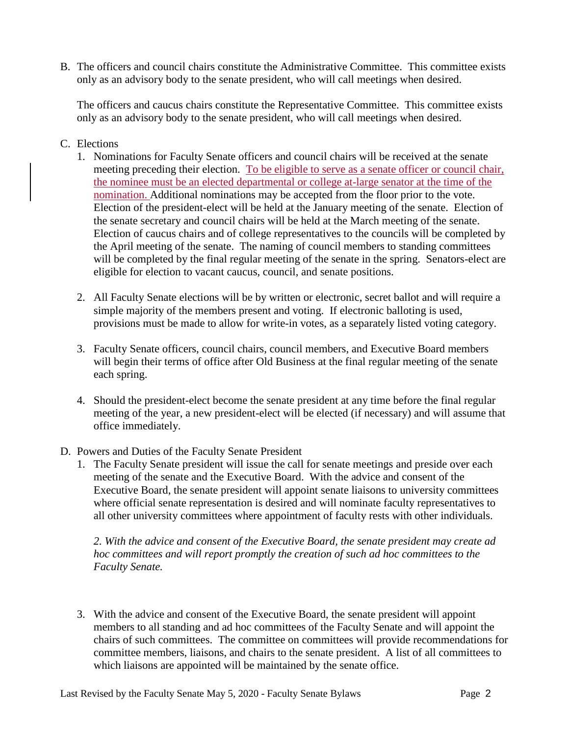B. The officers and council chairs constitute the Administrative Committee. This committee exists only as an advisory body to the senate president, who will call meetings when desired.

The officers and caucus chairs constitute the Representative Committee. This committee exists only as an advisory body to the senate president, who will call meetings when desired.

# C. Elections

- 1. Nominations for Faculty Senate officers and council chairs will be received at the senate meeting preceding their election. To be eligible to serve as a senate officer or council chair, the nominee must be an elected departmental or college at-large senator at the time of the nomination. Additional nominations may be accepted from the floor prior to the vote. Election of the president-elect will be held at the January meeting of the senate. Election of the senate secretary and council chairs will be held at the March meeting of the senate. Election of caucus chairs and of college representatives to the councils will be completed by the April meeting of the senate. The naming of council members to standing committees will be completed by the final regular meeting of the senate in the spring. Senators-elect are eligible for election to vacant caucus, council, and senate positions.
- 2. All Faculty Senate elections will be by written or electronic, secret ballot and will require a simple majority of the members present and voting. If electronic balloting is used, provisions must be made to allow for write-in votes, as a separately listed voting category.
- 3. Faculty Senate officers, council chairs, council members, and Executive Board members will begin their terms of office after Old Business at the final regular meeting of the senate each spring.
- 4. Should the president-elect become the senate president at any time before the final regular meeting of the year, a new president-elect will be elected (if necessary) and will assume that office immediately.
- D. Powers and Duties of the Faculty Senate President
	- 1. The Faculty Senate president will issue the call for senate meetings and preside over each meeting of the senate and the Executive Board. With the advice and consent of the Executive Board, the senate president will appoint senate liaisons to university committees where official senate representation is desired and will nominate faculty representatives to all other university committees where appointment of faculty rests with other individuals.

*2. With the advice and consent of the Executive Board, the senate president may create ad hoc committees and will report promptly the creation of such ad hoc committees to the Faculty Senate.* 

3. With the advice and consent of the Executive Board, the senate president will appoint members to all standing and ad hoc committees of the Faculty Senate and will appoint the chairs of such committees. The committee on committees will provide recommendations for committee members, liaisons, and chairs to the senate president. A list of all committees to which liaisons are appointed will be maintained by the senate office.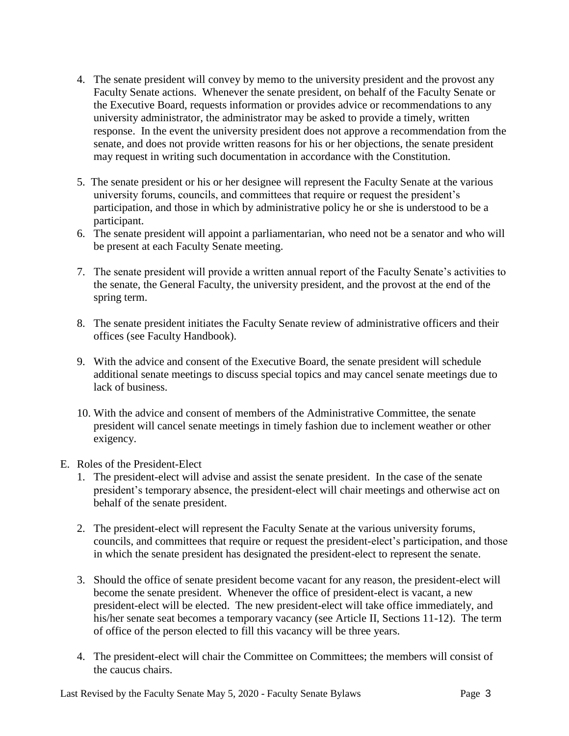- 4. The senate president will convey by memo to the university president and the provost any Faculty Senate actions. Whenever the senate president, on behalf of the Faculty Senate or the Executive Board, requests information or provides advice or recommendations to any university administrator, the administrator may be asked to provide a timely, written response. In the event the university president does not approve a recommendation from the senate, and does not provide written reasons for his or her objections, the senate president may request in writing such documentation in accordance with the Constitution.
- 5. The senate president or his or her designee will represent the Faculty Senate at the various university forums, councils, and committees that require or request the president's participation, and those in which by administrative policy he or she is understood to be a participant.
- 6. The senate president will appoint a parliamentarian, who need not be a senator and who will be present at each Faculty Senate meeting.
- 7. The senate president will provide a written annual report of the Faculty Senate's activities to the senate, the General Faculty, the university president, and the provost at the end of the spring term.
- 8. The senate president initiates the Faculty Senate review of administrative officers and their offices (see Faculty Handbook).
- 9. With the advice and consent of the Executive Board, the senate president will schedule additional senate meetings to discuss special topics and may cancel senate meetings due to lack of business.
- 10. With the advice and consent of members of the Administrative Committee, the senate president will cancel senate meetings in timely fashion due to inclement weather or other exigency.
- E. Roles of the President-Elect
	- 1. The president-elect will advise and assist the senate president. In the case of the senate president's temporary absence, the president-elect will chair meetings and otherwise act on behalf of the senate president.
	- 2. The president-elect will represent the Faculty Senate at the various university forums, councils, and committees that require or request the president-elect's participation, and those in which the senate president has designated the president-elect to represent the senate.
	- 3. Should the office of senate president become vacant for any reason, the president-elect will become the senate president. Whenever the office of president-elect is vacant, a new president-elect will be elected. The new president-elect will take office immediately, and his/her senate seat becomes a temporary vacancy (see Article II, Sections 11-12). The term of office of the person elected to fill this vacancy will be three years.
	- 4. The president-elect will chair the Committee on Committees; the members will consist of the caucus chairs.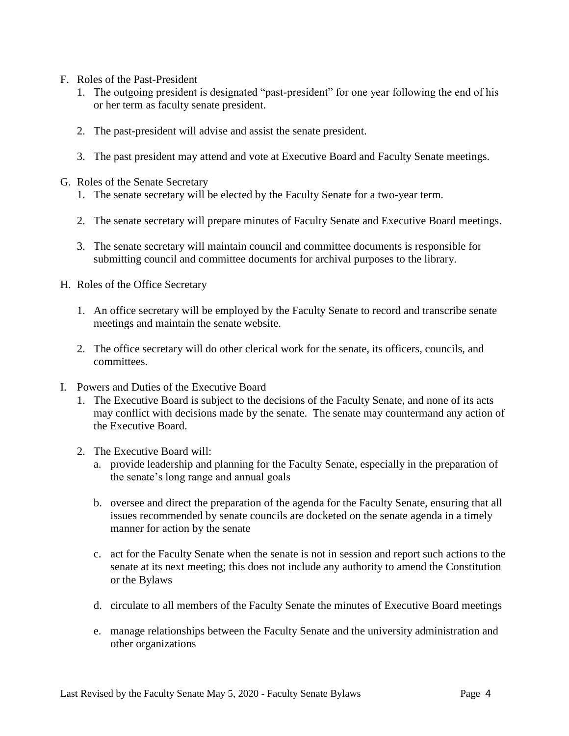- F. Roles of the Past-President
	- 1. The outgoing president is designated "past-president" for one year following the end of his or her term as faculty senate president.
	- 2. The past-president will advise and assist the senate president.
	- 3. The past president may attend and vote at Executive Board and Faculty Senate meetings.
- G. Roles of the Senate Secretary
	- 1. The senate secretary will be elected by the Faculty Senate for a two-year term.
	- 2. The senate secretary will prepare minutes of Faculty Senate and Executive Board meetings.
	- 3. The senate secretary will maintain council and committee documents is responsible for submitting council and committee documents for archival purposes to the library.
- H. Roles of the Office Secretary
	- 1. An office secretary will be employed by the Faculty Senate to record and transcribe senate meetings and maintain the senate website.
	- 2. The office secretary will do other clerical work for the senate, its officers, councils, and committees.
- I. Powers and Duties of the Executive Board
	- 1. The Executive Board is subject to the decisions of the Faculty Senate, and none of its acts may conflict with decisions made by the senate. The senate may countermand any action of the Executive Board.
	- 2. The Executive Board will:
		- a. provide leadership and planning for the Faculty Senate, especially in the preparation of the senate's long range and annual goals
		- b. oversee and direct the preparation of the agenda for the Faculty Senate, ensuring that all issues recommended by senate councils are docketed on the senate agenda in a timely manner for action by the senate
		- c. act for the Faculty Senate when the senate is not in session and report such actions to the senate at its next meeting; this does not include any authority to amend the Constitution or the Bylaws
		- d. circulate to all members of the Faculty Senate the minutes of Executive Board meetings
		- e. manage relationships between the Faculty Senate and the university administration and other organizations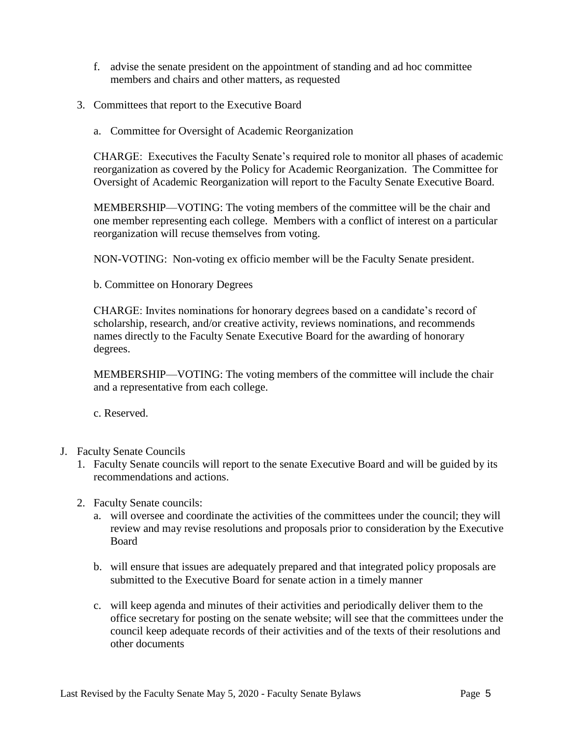- f. advise the senate president on the appointment of standing and ad hoc committee members and chairs and other matters, as requested
- 3. Committees that report to the Executive Board
	- a. Committee for Oversight of Academic Reorganization

CHARGE: Executives the Faculty Senate's required role to monitor all phases of academic reorganization as covered by the Policy for Academic Reorganization. The Committee for Oversight of Academic Reorganization will report to the Faculty Senate Executive Board.

MEMBERSHIP—VOTING: The voting members of the committee will be the chair and one member representing each college. Members with a conflict of interest on a particular reorganization will recuse themselves from voting.

NON-VOTING: Non-voting ex officio member will be the Faculty Senate president.

b. Committee on Honorary Degrees

CHARGE: Invites nominations for honorary degrees based on a candidate's record of scholarship, research, and/or creative activity, reviews nominations, and recommends names directly to the Faculty Senate Executive Board for the awarding of honorary degrees.

MEMBERSHIP—VOTING: The voting members of the committee will include the chair and a representative from each college.

c. Reserved.

- J. Faculty Senate Councils
	- 1. Faculty Senate councils will report to the senate Executive Board and will be guided by its recommendations and actions.
	- 2. Faculty Senate councils:
		- a. will oversee and coordinate the activities of the committees under the council; they will review and may revise resolutions and proposals prior to consideration by the Executive Board
		- b. will ensure that issues are adequately prepared and that integrated policy proposals are submitted to the Executive Board for senate action in a timely manner
		- c. will keep agenda and minutes of their activities and periodically deliver them to the office secretary for posting on the senate website; will see that the committees under the council keep adequate records of their activities and of the texts of their resolutions and other documents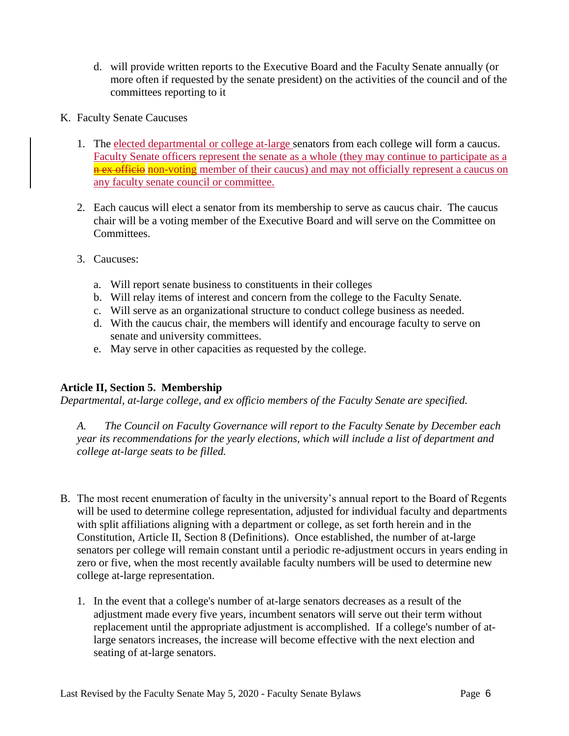- d. will provide written reports to the Executive Board and the Faculty Senate annually (or more often if requested by the senate president) on the activities of the council and of the committees reporting to it
- K. Faculty Senate Caucuses
	- 1. The elected departmental or college at-large senators from each college will form a caucus. Faculty Senate officers represent the senate as a whole (they may continue to participate as a n ex officio non-voting member of their caucus) and may not officially represent a caucus on any faculty senate council or committee.
	- 2. Each caucus will elect a senator from its membership to serve as caucus chair. The caucus chair will be a voting member of the Executive Board and will serve on the Committee on Committees.
	- 3. Caucuses:
		- a. Will report senate business to constituents in their colleges
		- b. Will relay items of interest and concern from the college to the Faculty Senate.
		- c. Will serve as an organizational structure to conduct college business as needed.
		- d. With the caucus chair, the members will identify and encourage faculty to serve on senate and university committees.
		- e. May serve in other capacities as requested by the college.

# **Article II, Section 5. Membership**

*Departmental, at-large college, and ex officio members of the Faculty Senate are specified.* 

*A. The Council on Faculty Governance will report to the Faculty Senate by December each year its recommendations for the yearly elections, which will include a list of department and college at-large seats to be filled.* 

- B. The most recent enumeration of faculty in the university's annual report to the Board of Regents will be used to determine college representation, adjusted for individual faculty and departments with split affiliations aligning with a department or college, as set forth herein and in the Constitution, Article II, Section 8 (Definitions). Once established, the number of at-large senators per college will remain constant until a periodic re-adjustment occurs in years ending in zero or five, when the most recently available faculty numbers will be used to determine new college at-large representation.
	- 1. In the event that a college's number of at-large senators decreases as a result of the adjustment made every five years, incumbent senators will serve out their term without replacement until the appropriate adjustment is accomplished. If a college's number of atlarge senators increases, the increase will become effective with the next election and seating of at-large senators.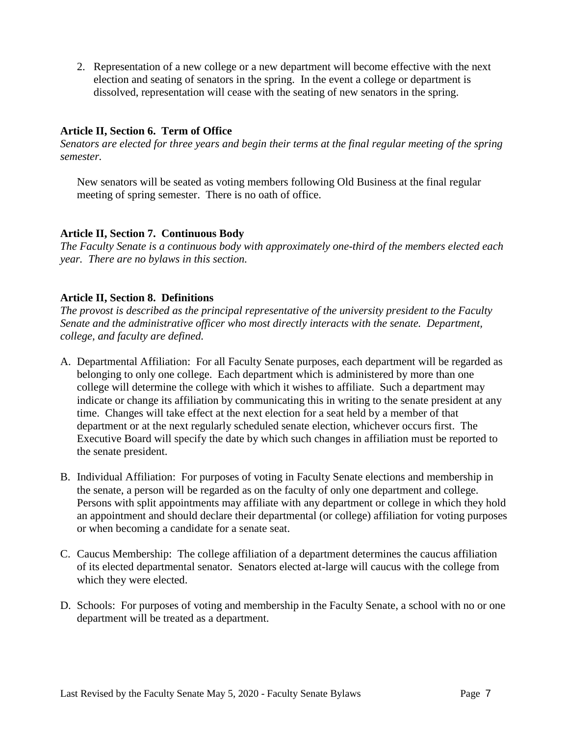2. Representation of a new college or a new department will become effective with the next election and seating of senators in the spring. In the event a college or department is dissolved, representation will cease with the seating of new senators in the spring.

# **Article II, Section 6. Term of Office**

*Senators are elected for three years and begin their terms at the final regular meeting of the spring semester.*

New senators will be seated as voting members following Old Business at the final regular meeting of spring semester. There is no oath of office.

# **Article II, Section 7. Continuous Body**

*The Faculty Senate is a continuous body with approximately one-third of the members elected each year. There are no bylaws in this section.*

# **Article II, Section 8. Definitions**

*The provost is described as the principal representative of the university president to the Faculty Senate and the administrative officer who most directly interacts with the senate. Department, college, and faculty are defined.*

- A. Departmental Affiliation: For all Faculty Senate purposes, each department will be regarded as belonging to only one college. Each department which is administered by more than one college will determine the college with which it wishes to affiliate. Such a department may indicate or change its affiliation by communicating this in writing to the senate president at any time. Changes will take effect at the next election for a seat held by a member of that department or at the next regularly scheduled senate election, whichever occurs first. The Executive Board will specify the date by which such changes in affiliation must be reported to the senate president.
- B. Individual Affiliation: For purposes of voting in Faculty Senate elections and membership in the senate, a person will be regarded as on the faculty of only one department and college. Persons with split appointments may affiliate with any department or college in which they hold an appointment and should declare their departmental (or college) affiliation for voting purposes or when becoming a candidate for a senate seat.
- C. Caucus Membership: The college affiliation of a department determines the caucus affiliation of its elected departmental senator. Senators elected at-large will caucus with the college from which they were elected.
- D. Schools: For purposes of voting and membership in the Faculty Senate, a school with no or one department will be treated as a department.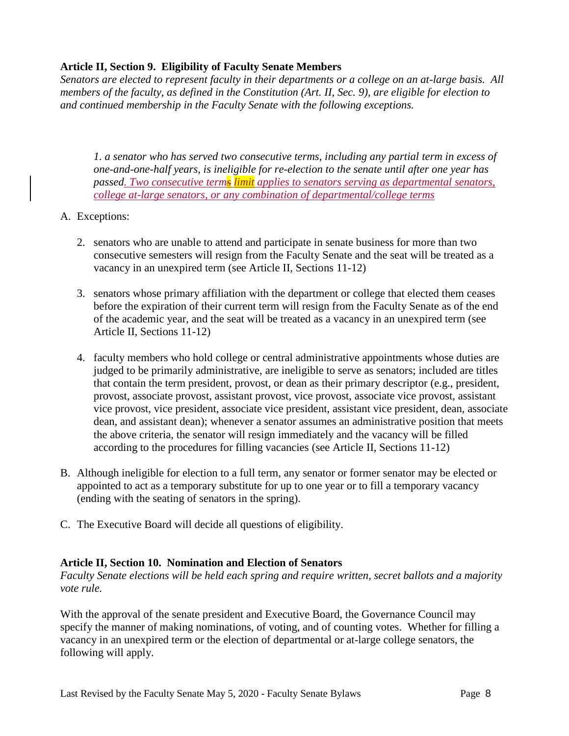# **Article II, Section 9. Eligibility of Faculty Senate Members**

*Senators are elected to represent faculty in their departments or a college on an at-large basis. All members of the faculty, as defined in the Constitution (Art. II, Sec. 9), are eligible for election to and continued membership in the Faculty Senate with the following exceptions.*

*1. a senator who has served two consecutive terms, including any partial term in excess of one-and-one-half years, is ineligible for re-election to the senate until after one year has passed. Two consecutive terms limit applies to senators serving as departmental senators, college at-large senators, or any combination of departmental/college terms*

- A. Exceptions:
	- 2. senators who are unable to attend and participate in senate business for more than two consecutive semesters will resign from the Faculty Senate and the seat will be treated as a vacancy in an unexpired term (see Article II, Sections 11-12)
	- 3. senators whose primary affiliation with the department or college that elected them ceases before the expiration of their current term will resign from the Faculty Senate as of the end of the academic year, and the seat will be treated as a vacancy in an unexpired term (see Article II, Sections 11-12)
	- 4. faculty members who hold college or central administrative appointments whose duties are judged to be primarily administrative, are ineligible to serve as senators; included are titles that contain the term president, provost, or dean as their primary descriptor (e.g., president, provost, associate provost, assistant provost, vice provost, associate vice provost, assistant vice provost, vice president, associate vice president, assistant vice president, dean, associate dean, and assistant dean); whenever a senator assumes an administrative position that meets the above criteria, the senator will resign immediately and the vacancy will be filled according to the procedures for filling vacancies (see Article II, Sections 11-12)
- B. Although ineligible for election to a full term, any senator or former senator may be elected or appointed to act as a temporary substitute for up to one year or to fill a temporary vacancy (ending with the seating of senators in the spring).
- C. The Executive Board will decide all questions of eligibility.

# **Article II, Section 10. Nomination and Election of Senators**

*Faculty Senate elections will be held each spring and require written, secret ballots and a majority vote rule.*

With the approval of the senate president and Executive Board, the Governance Council may specify the manner of making nominations, of voting, and of counting votes. Whether for filling a vacancy in an unexpired term or the election of departmental or at-large college senators, the following will apply.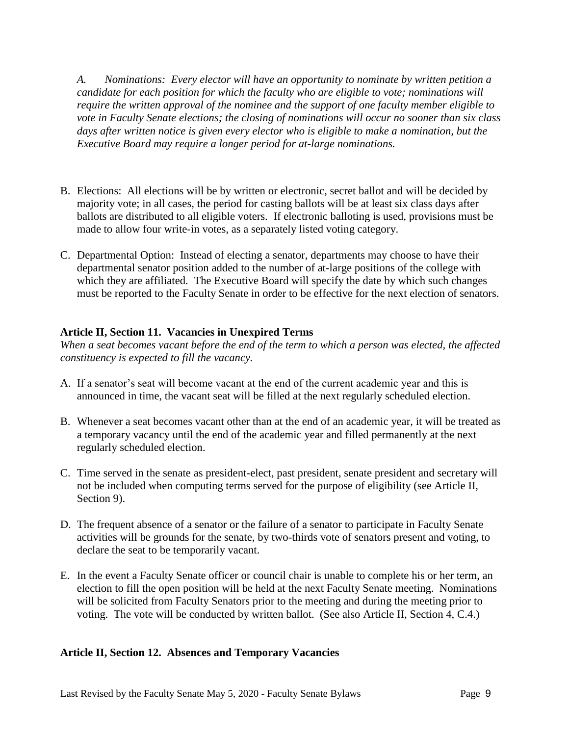*A. Nominations: Every elector will have an opportunity to nominate by written petition a candidate for each position for which the faculty who are eligible to vote; nominations will require the written approval of the nominee and the support of one faculty member eligible to vote in Faculty Senate elections; the closing of nominations will occur no sooner than six class days after written notice is given every elector who is eligible to make a nomination, but the Executive Board may require a longer period for at-large nominations.*

- B. Elections: All elections will be by written or electronic, secret ballot and will be decided by majority vote; in all cases, the period for casting ballots will be at least six class days after ballots are distributed to all eligible voters. If electronic balloting is used, provisions must be made to allow four write-in votes, as a separately listed voting category.
- C. Departmental Option: Instead of electing a senator, departments may choose to have their departmental senator position added to the number of at-large positions of the college with which they are affiliated. The Executive Board will specify the date by which such changes must be reported to the Faculty Senate in order to be effective for the next election of senators.

#### **Article II, Section 11. Vacancies in Unexpired Terms**

*When a seat becomes vacant before the end of the term to which a person was elected, the affected constituency is expected to fill the vacancy.*

- A. If a senator's seat will become vacant at the end of the current academic year and this is announced in time, the vacant seat will be filled at the next regularly scheduled election.
- B. Whenever a seat becomes vacant other than at the end of an academic year, it will be treated as a temporary vacancy until the end of the academic year and filled permanently at the next regularly scheduled election.
- C. Time served in the senate as president-elect, past president, senate president and secretary will not be included when computing terms served for the purpose of eligibility (see Article II, Section 9).
- D. The frequent absence of a senator or the failure of a senator to participate in Faculty Senate activities will be grounds for the senate, by two-thirds vote of senators present and voting, to declare the seat to be temporarily vacant.
- E. In the event a Faculty Senate officer or council chair is unable to complete his or her term, an election to fill the open position will be held at the next Faculty Senate meeting. Nominations will be solicited from Faculty Senators prior to the meeting and during the meeting prior to voting. The vote will be conducted by written ballot. (See also Article II, Section 4, C.4.)

#### **Article II, Section 12. Absences and Temporary Vacancies**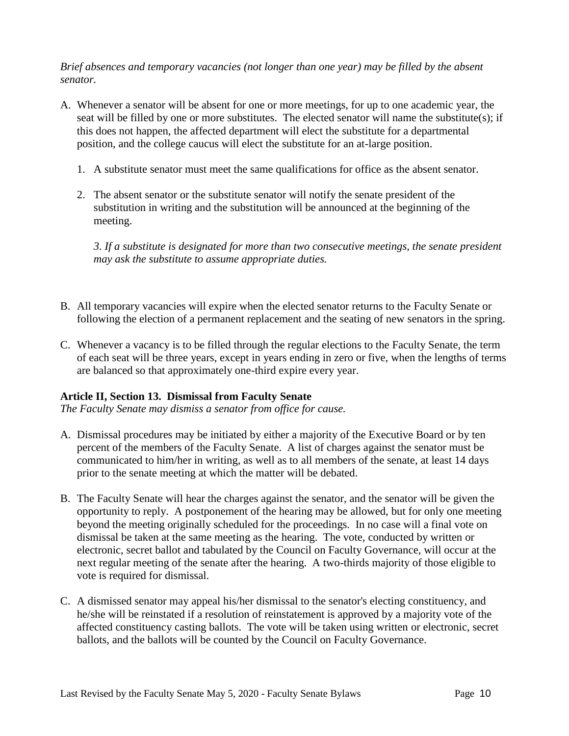*Brief absences and temporary vacancies (not longer than one year) may be filled by the absent senator.*

- A. Whenever a senator will be absent for one or more meetings, for up to one academic year, the seat will be filled by one or more substitutes. The elected senator will name the substitute(s); if this does not happen, the affected department will elect the substitute for a departmental position, and the college caucus will elect the substitute for an at-large position.
	- 1. A substitute senator must meet the same qualifications for office as the absent senator.
	- 2. The absent senator or the substitute senator will notify the senate president of the substitution in writing and the substitution will be announced at the beginning of the meeting.

*3. If a substitute is designated for more than two consecutive meetings, the senate president may ask the substitute to assume appropriate duties.*

- B. All temporary vacancies will expire when the elected senator returns to the Faculty Senate or following the election of a permanent replacement and the seating of new senators in the spring.
- C. Whenever a vacancy is to be filled through the regular elections to the Faculty Senate, the term of each seat will be three years, except in years ending in zero or five, when the lengths of terms are balanced so that approximately one-third expire every year.

# **Article II, Section 13. Dismissal from Faculty Senate**

*The Faculty Senate may dismiss a senator from office for cause.*

- A. Dismissal procedures may be initiated by either a majority of the Executive Board or by ten percent of the members of the Faculty Senate. A list of charges against the senator must be communicated to him/her in writing, as well as to all members of the senate, at least 14 days prior to the senate meeting at which the matter will be debated.
- B. The Faculty Senate will hear the charges against the senator, and the senator will be given the opportunity to reply. A postponement of the hearing may be allowed, but for only one meeting beyond the meeting originally scheduled for the proceedings. In no case will a final vote on dismissal be taken at the same meeting as the hearing. The vote, conducted by written or electronic, secret ballot and tabulated by the Council on Faculty Governance, will occur at the next regular meeting of the senate after the hearing. A two-thirds majority of those eligible to vote is required for dismissal.
- C. A dismissed senator may appeal his/her dismissal to the senator's electing constituency, and he/she will be reinstated if a resolution of reinstatement is approved by a majority vote of the affected constituency casting ballots. The vote will be taken using written or electronic, secret ballots, and the ballots will be counted by the Council on Faculty Governance.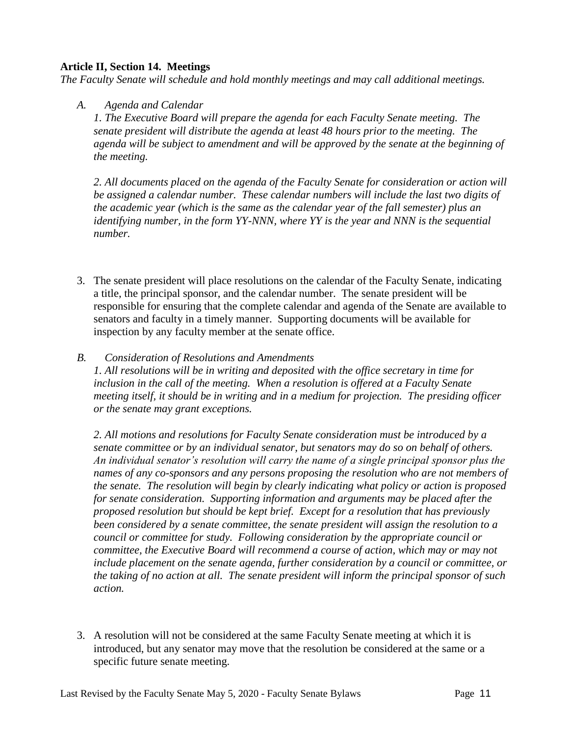#### **Article II, Section 14. Meetings**

*The Faculty Senate will schedule and hold monthly meetings and may call additional meetings.*

#### *A. Agenda and Calendar*

*1. The Executive Board will prepare the agenda for each Faculty Senate meeting. The senate president will distribute the agenda at least 48 hours prior to the meeting. The agenda will be subject to amendment and will be approved by the senate at the beginning of the meeting.*

*2. All documents placed on the agenda of the Faculty Senate for consideration or action will be assigned a calendar number. These calendar numbers will include the last two digits of the academic year (which is the same as the calendar year of the fall semester) plus an identifying number, in the form YY-NNN, where YY is the year and NNN is the sequential number.* 

3. The senate president will place resolutions on the calendar of the Faculty Senate, indicating a title, the principal sponsor, and the calendar number. The senate president will be responsible for ensuring that the complete calendar and agenda of the Senate are available to senators and faculty in a timely manner. Supporting documents will be available for inspection by any faculty member at the senate office.

#### *B. Consideration of Resolutions and Amendments*

*1. All resolutions will be in writing and deposited with the office secretary in time for inclusion in the call of the meeting. When a resolution is offered at a Faculty Senate meeting itself, it should be in writing and in a medium for projection. The presiding officer or the senate may grant exceptions.*

*2. All motions and resolutions for Faculty Senate consideration must be introduced by a senate committee or by an individual senator, but senators may do so on behalf of others. An individual senator's resolution will carry the name of a single principal sponsor plus the names of any co-sponsors and any persons proposing the resolution who are not members of the senate. The resolution will begin by clearly indicating what policy or action is proposed for senate consideration. Supporting information and arguments may be placed after the proposed resolution but should be kept brief. Except for a resolution that has previously been considered by a senate committee, the senate president will assign the resolution to a council or committee for study. Following consideration by the appropriate council or committee, the Executive Board will recommend a course of action, which may or may not include placement on the senate agenda, further consideration by a council or committee, or the taking of no action at all. The senate president will inform the principal sponsor of such action.*

3. A resolution will not be considered at the same Faculty Senate meeting at which it is introduced, but any senator may move that the resolution be considered at the same or a specific future senate meeting.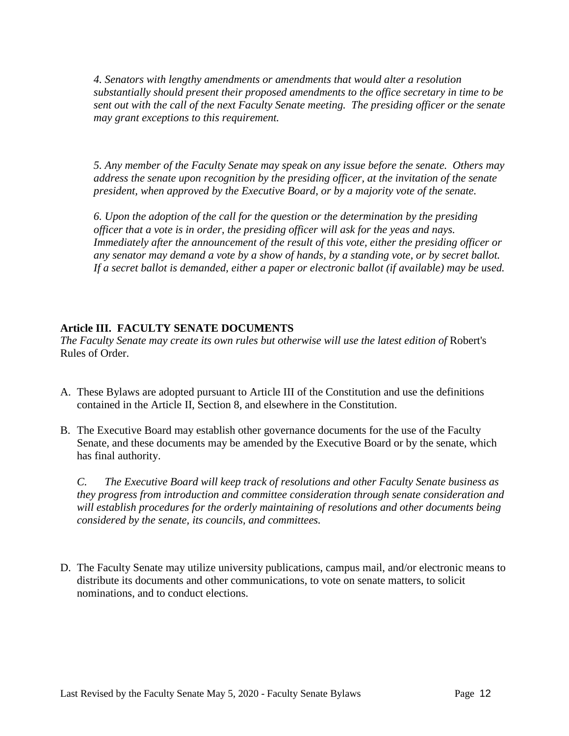*4. Senators with lengthy amendments or amendments that would alter a resolution substantially should present their proposed amendments to the office secretary in time to be sent out with the call of the next Faculty Senate meeting. The presiding officer or the senate may grant exceptions to this requirement.*

*5. Any member of the Faculty Senate may speak on any issue before the senate. Others may address the senate upon recognition by the presiding officer, at the invitation of the senate president, when approved by the Executive Board, or by a majority vote of the senate.*

*6. Upon the adoption of the call for the question or the determination by the presiding officer that a vote is in order, the presiding officer will ask for the yeas and nays. Immediately after the announcement of the result of this vote, either the presiding officer or any senator may demand a vote by a show of hands, by a standing vote, or by secret ballot. If a secret ballot is demanded, either a paper or electronic ballot (if available) may be used.*

# **Article III. FACULTY SENATE DOCUMENTS**

*The Faculty Senate may create its own rules but otherwise will use the latest edition of* Robert's Rules of Order.

- A. These Bylaws are adopted pursuant to Article III of the Constitution and use the definitions contained in the Article II, Section 8, and elsewhere in the Constitution.
- B. The Executive Board may establish other governance documents for the use of the Faculty Senate, and these documents may be amended by the Executive Board or by the senate, which has final authority.

*C. The Executive Board will keep track of resolutions and other Faculty Senate business as they progress from introduction and committee consideration through senate consideration and will establish procedures for the orderly maintaining of resolutions and other documents being considered by the senate, its councils, and committees.* 

D. The Faculty Senate may utilize university publications, campus mail, and/or electronic means to distribute its documents and other communications, to vote on senate matters, to solicit nominations, and to conduct elections.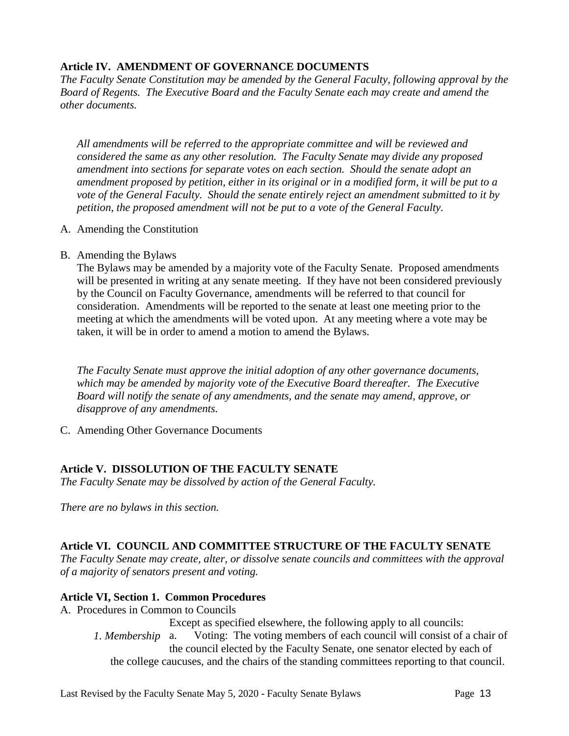# **Article IV. AMENDMENT OF GOVERNANCE DOCUMENTS**

*The Faculty Senate Constitution may be amended by the General Faculty, following approval by the Board of Regents. The Executive Board and the Faculty Senate each may create and amend the other documents.*

*All amendments will be referred to the appropriate committee and will be reviewed and considered the same as any other resolution. The Faculty Senate may divide any proposed amendment into sections for separate votes on each section. Should the senate adopt an amendment proposed by petition, either in its original or in a modified form, it will be put to a vote of the General Faculty. Should the senate entirely reject an amendment submitted to it by petition, the proposed amendment will not be put to a vote of the General Faculty.*

- A. Amending the Constitution
- B. Amending the Bylaws

The Bylaws may be amended by a majority vote of the Faculty Senate. Proposed amendments will be presented in writing at any senate meeting. If they have not been considered previously by the Council on Faculty Governance, amendments will be referred to that council for consideration. Amendments will be reported to the senate at least one meeting prior to the meeting at which the amendments will be voted upon. At any meeting where a vote may be taken, it will be in order to amend a motion to amend the Bylaws.

*The Faculty Senate must approve the initial adoption of any other governance documents, which may be amended by majority vote of the Executive Board thereafter. The Executive Board will notify the senate of any amendments, and the senate may amend, approve, or disapprove of any amendments.*

C. Amending Other Governance Documents

# **Article V. DISSOLUTION OF THE FACULTY SENATE**

*The Faculty Senate may be dissolved by action of the General Faculty.*

*There are no bylaws in this section.*

# **Article VI. COUNCIL AND COMMITTEE STRUCTURE OF THE FACULTY SENATE**

*The Faculty Senate may create, alter, or dissolve senate councils and committees with the approval of a majority of senators present and voting.*

# **Article VI, Section 1. Common Procedures**

A. Procedures in Common to Councils

Except as specified elsewhere, the following apply to all councils: Voting: The voting members of each council will consist of a chair of the council elected by the Faculty Senate, one senator elected by each of the college caucuses, and the chairs of the standing committees reporting to that council. *1. Membership*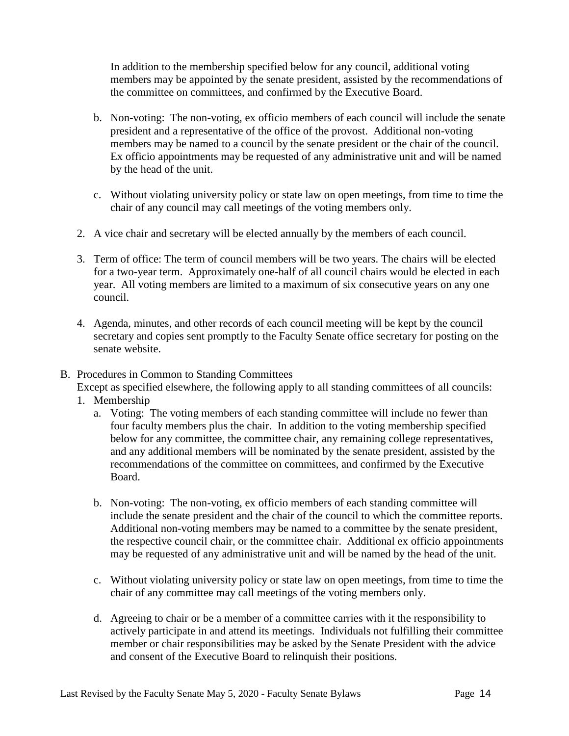In addition to the membership specified below for any council, additional voting members may be appointed by the senate president, assisted by the recommendations of the committee on committees, and confirmed by the Executive Board.

- b. Non-voting: The non-voting, ex officio members of each council will include the senate president and a representative of the office of the provost. Additional non-voting members may be named to a council by the senate president or the chair of the council. Ex officio appointments may be requested of any administrative unit and will be named by the head of the unit.
- c. Without violating university policy or state law on open meetings, from time to time the chair of any council may call meetings of the voting members only.
- 2. A vice chair and secretary will be elected annually by the members of each council.
- 3. Term of office: The term of council members will be two years. The chairs will be elected for a two-year term. Approximately one-half of all council chairs would be elected in each year. All voting members are limited to a maximum of six consecutive years on any one council.
- 4. Agenda, minutes, and other records of each council meeting will be kept by the council secretary and copies sent promptly to the Faculty Senate office secretary for posting on the senate website.
- B. Procedures in Common to Standing Committees

Except as specified elsewhere, the following apply to all standing committees of all councils:

- 1. Membership
	- a. Voting: The voting members of each standing committee will include no fewer than four faculty members plus the chair. In addition to the voting membership specified below for any committee, the committee chair, any remaining college representatives, and any additional members will be nominated by the senate president, assisted by the recommendations of the committee on committees, and confirmed by the Executive Board.
	- b. Non-voting: The non-voting, ex officio members of each standing committee will include the senate president and the chair of the council to which the committee reports. Additional non-voting members may be named to a committee by the senate president, the respective council chair, or the committee chair. Additional ex officio appointments may be requested of any administrative unit and will be named by the head of the unit.
	- c. Without violating university policy or state law on open meetings, from time to time the chair of any committee may call meetings of the voting members only.
	- d. Agreeing to chair or be a member of a committee carries with it the responsibility to actively participate in and attend its meetings. Individuals not fulfilling their committee member or chair responsibilities may be asked by the Senate President with the advice and consent of the Executive Board to relinquish their positions.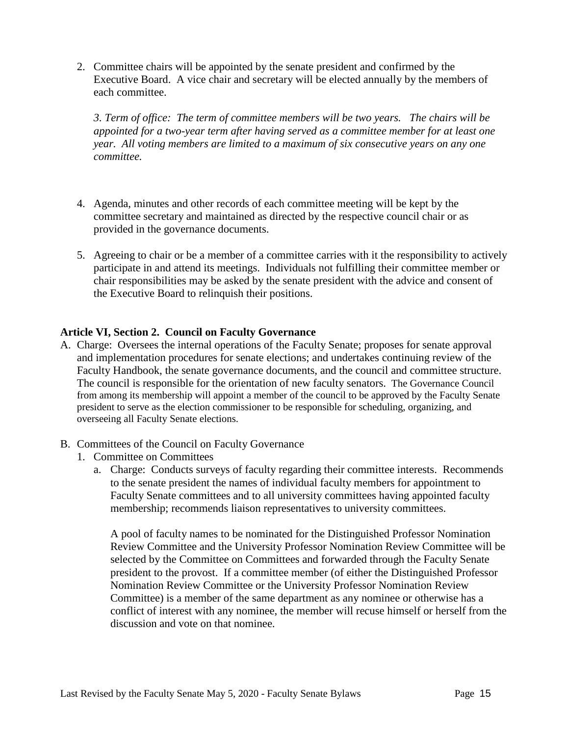2. Committee chairs will be appointed by the senate president and confirmed by the Executive Board. A vice chair and secretary will be elected annually by the members of each committee.

*3. Term of office: The term of committee members will be two years. The chairs will be appointed for a two-year term after having served as a committee member for at least one year. All voting members are limited to a maximum of six consecutive years on any one committee.*

- 4. Agenda, minutes and other records of each committee meeting will be kept by the committee secretary and maintained as directed by the respective council chair or as provided in the governance documents.
- 5. Agreeing to chair or be a member of a committee carries with it the responsibility to actively participate in and attend its meetings. Individuals not fulfilling their committee member or chair responsibilities may be asked by the senate president with the advice and consent of the Executive Board to relinquish their positions.

#### **Article VI, Section 2. Council on Faculty Governance**

- A. Charge: Oversees the internal operations of the Faculty Senate; proposes for senate approval and implementation procedures for senate elections; and undertakes continuing review of the Faculty Handbook, the senate governance documents, and the council and committee structure. The council is responsible for the orientation of new faculty senators. The Governance Council from among its membership will appoint a member of the council to be approved by the Faculty Senate president to serve as the election commissioner to be responsible for scheduling, organizing, and overseeing all Faculty Senate elections.
- B. Committees of the Council on Faculty Governance
	- 1. Committee on Committees
		- a. Charge: Conducts surveys of faculty regarding their committee interests. Recommends to the senate president the names of individual faculty members for appointment to Faculty Senate committees and to all university committees having appointed faculty membership; recommends liaison representatives to university committees.

A pool of faculty names to be nominated for the Distinguished Professor Nomination Review Committee and the University Professor Nomination Review Committee will be selected by the Committee on Committees and forwarded through the Faculty Senate president to the provost. If a committee member (of either the Distinguished Professor Nomination Review Committee or the University Professor Nomination Review Committee) is a member of the same department as any nominee or otherwise has a conflict of interest with any nominee, the member will recuse himself or herself from the discussion and vote on that nominee.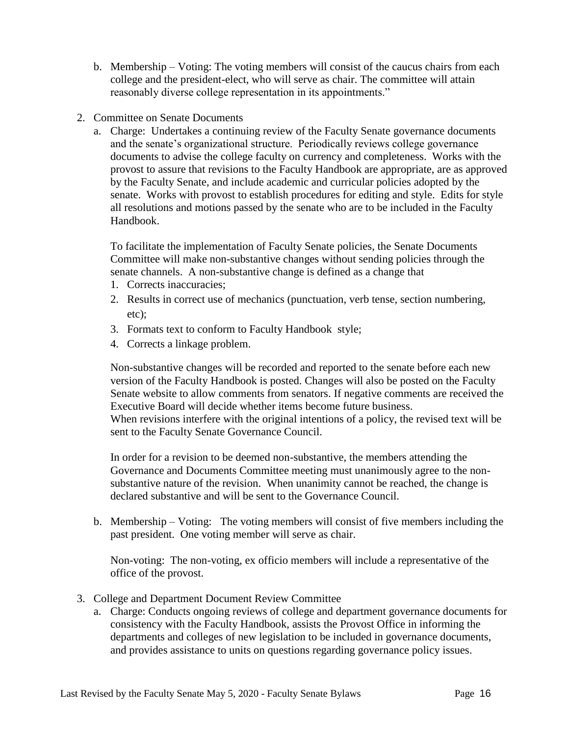- b. Membership Voting: The voting members will consist of the caucus chairs from each college and the president-elect, who will serve as chair. The committee will attain reasonably diverse college representation in its appointments."
- 2. Committee on Senate Documents
	- a. Charge: Undertakes a continuing review of the Faculty Senate governance documents and the senate's organizational structure. Periodically reviews college governance documents to advise the college faculty on currency and completeness. Works with the provost to assure that revisions to the Faculty Handbook are appropriate, are as approved by the Faculty Senate, and include academic and curricular policies adopted by the senate. Works with provost to establish procedures for editing and style. Edits for style all resolutions and motions passed by the senate who are to be included in the Faculty Handbook.

To facilitate the implementation of Faculty Senate policies, the Senate Documents Committee will make non-substantive changes without sending policies through the senate channels. A non-substantive change is defined as a change that

- 1. Corrects inaccuracies;
- 2. Results in correct use of mechanics (punctuation, verb tense, section numbering, etc);
- 3. Formats text to conform to Faculty Handbook style;
- 4. Corrects a linkage problem.

Non-substantive changes will be recorded and reported to the senate before each new version of the Faculty Handbook is posted. Changes will also be posted on the Faculty Senate website to allow comments from senators. If negative comments are received the Executive Board will decide whether items become future business. When revisions interfere with the original intentions of a policy, the revised text will be sent to the Faculty Senate Governance Council.

In order for a revision to be deemed non-substantive, the members attending the Governance and Documents Committee meeting must unanimously agree to the nonsubstantive nature of the revision. When unanimity cannot be reached, the change is declared substantive and will be sent to the Governance Council.

b. Membership – Voting: The voting members will consist of five members including the past president. One voting member will serve as chair.

Non-voting: The non-voting, ex officio members will include a representative of the office of the provost.

- 3. College and Department Document Review Committee
	- a. Charge: Conducts ongoing reviews of college and department governance documents for consistency with the Faculty Handbook, assists the Provost Office in informing the departments and colleges of new legislation to be included in governance documents, and provides assistance to units on questions regarding governance policy issues.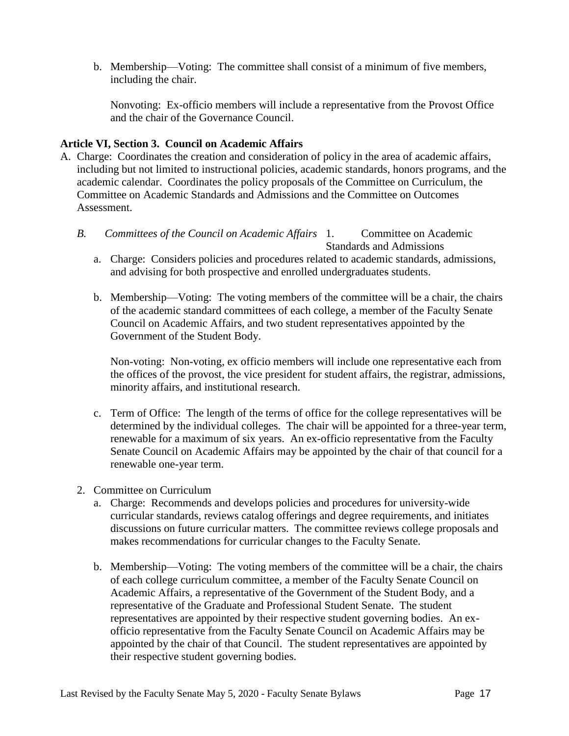b. Membership—Voting: The committee shall consist of a minimum of five members, including the chair.

Nonvoting: Ex-officio members will include a representative from the Provost Office and the chair of the Governance Council.

#### **Article VI, Section 3. Council on Academic Affairs**

- A. Charge: Coordinates the creation and consideration of policy in the area of academic affairs, including but not limited to instructional policies, academic standards, honors programs, and the academic calendar. Coordinates the policy proposals of the Committee on Curriculum, the Committee on Academic Standards and Admissions and the Committee on Outcomes Assessment.
	- Committee on Academic *B. Committees of the Council on Academic Affairs*

Standards and Admissions

- a. Charge: Considers policies and procedures related to academic standards, admissions, and advising for both prospective and enrolled undergraduates students.
- b. Membership—Voting: The voting members of the committee will be a chair, the chairs of the academic standard committees of each college, a member of the Faculty Senate Council on Academic Affairs, and two student representatives appointed by the Government of the Student Body.

Non-voting: Non-voting, ex officio members will include one representative each from the offices of the provost, the vice president for student affairs, the registrar, admissions, minority affairs, and institutional research.

- c. Term of Office: The length of the terms of office for the college representatives will be determined by the individual colleges. The chair will be appointed for a three-year term, renewable for a maximum of six years. An ex-officio representative from the Faculty Senate Council on Academic Affairs may be appointed by the chair of that council for a renewable one-year term.
- 2. Committee on Curriculum
	- a. Charge: Recommends and develops policies and procedures for university-wide curricular standards, reviews catalog offerings and degree requirements, and initiates discussions on future curricular matters. The committee reviews college proposals and makes recommendations for curricular changes to the Faculty Senate.
	- b. Membership—Voting: The voting members of the committee will be a chair, the chairs of each college curriculum committee, a member of the Faculty Senate Council on Academic Affairs, a representative of the Government of the Student Body, and a representative of the Graduate and Professional Student Senate. The student representatives are appointed by their respective student governing bodies. An exofficio representative from the Faculty Senate Council on Academic Affairs may be appointed by the chair of that Council. The student representatives are appointed by their respective student governing bodies.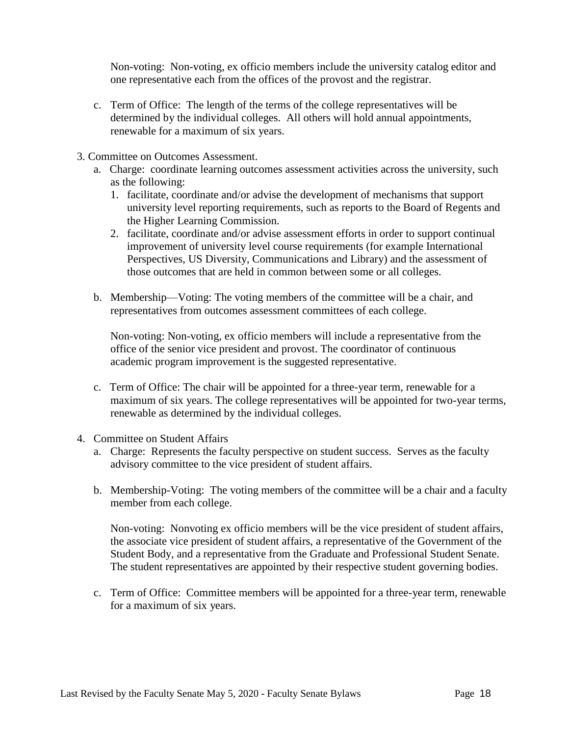Non-voting: Non-voting, ex officio members include the university catalog editor and one representative each from the offices of the provost and the registrar.

- c. Term of Office: The length of the terms of the college representatives will be determined by the individual colleges. All others will hold annual appointments, renewable for a maximum of six years.
- 3. Committee on Outcomes Assessment.
	- a. Charge: coordinate learning outcomes assessment activities across the university, such as the following:
		- 1. facilitate, coordinate and/or advise the development of mechanisms that support university level reporting requirements, such as reports to the Board of Regents and the Higher Learning Commission.
		- 2. facilitate, coordinate and/or advise assessment efforts in order to support continual improvement of university level course requirements (for example International Perspectives, US Diversity, Communications and Library) and the assessment of those outcomes that are held in common between some or all colleges.
	- b. Membership—Voting: The voting members of the committee will be a chair, and representatives from outcomes assessment committees of each college.

Non-voting: Non-voting, ex officio members will include a representative from the office of the senior vice president and provost. The coordinator of continuous academic program improvement is the suggested representative.

- c. Term of Office: The chair will be appointed for a three-year term, renewable for a maximum of six years. The college representatives will be appointed for two-year terms, renewable as determined by the individual colleges.
- 4. Committee on Student Affairs
	- a. Charge: Represents the faculty perspective on student success. Serves as the faculty advisory committee to the vice president of student affairs.
	- b. Membership-Voting: The voting members of the committee will be a chair and a faculty member from each college.

Non-voting: Nonvoting ex officio members will be the vice president of student affairs, the associate vice president of student affairs, a representative of the Government of the Student Body, and a representative from the Graduate and Professional Student Senate. The student representatives are appointed by their respective student governing bodies.

c. Term of Office: Committee members will be appointed for a three-year term, renewable for a maximum of six years.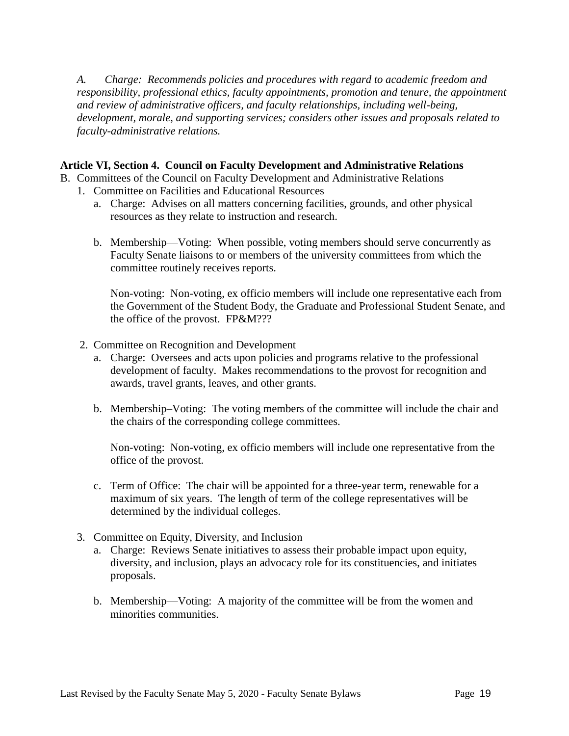*A. Charge: Recommends policies and procedures with regard to academic freedom and responsibility, professional ethics, faculty appointments, promotion and tenure, the appointment and review of administrative officers, and faculty relationships, including well-being, development, morale, and supporting services; considers other issues and proposals related to faculty-administrative relations.*

#### **Article VI, Section 4. Council on Faculty Development and Administrative Relations**

B. Committees of the Council on Faculty Development and Administrative Relations

- 1. Committee on Facilities and Educational Resources
	- a. Charge: Advises on all matters concerning facilities, grounds, and other physical resources as they relate to instruction and research.
	- b. Membership—Voting: When possible, voting members should serve concurrently as Faculty Senate liaisons to or members of the university committees from which the committee routinely receives reports.

Non-voting: Non-voting, ex officio members will include one representative each from the Government of the Student Body, the Graduate and Professional Student Senate, and the office of the provost. FP&M???

- 2. Committee on Recognition and Development
	- a. Charge: Oversees and acts upon policies and programs relative to the professional development of faculty. Makes recommendations to the provost for recognition and awards, travel grants, leaves, and other grants.
	- b. Membership–Voting: The voting members of the committee will include the chair and the chairs of the corresponding college committees.

Non-voting: Non-voting, ex officio members will include one representative from the office of the provost.

- c. Term of Office: The chair will be appointed for a three-year term, renewable for a maximum of six years. The length of term of the college representatives will be determined by the individual colleges.
- 3. Committee on Equity, Diversity, and Inclusion
	- a. Charge: Reviews Senate initiatives to assess their probable impact upon equity, diversity, and inclusion, plays an advocacy role for its constituencies, and initiates proposals.
	- b. Membership—Voting: A majority of the committee will be from the women and minorities communities.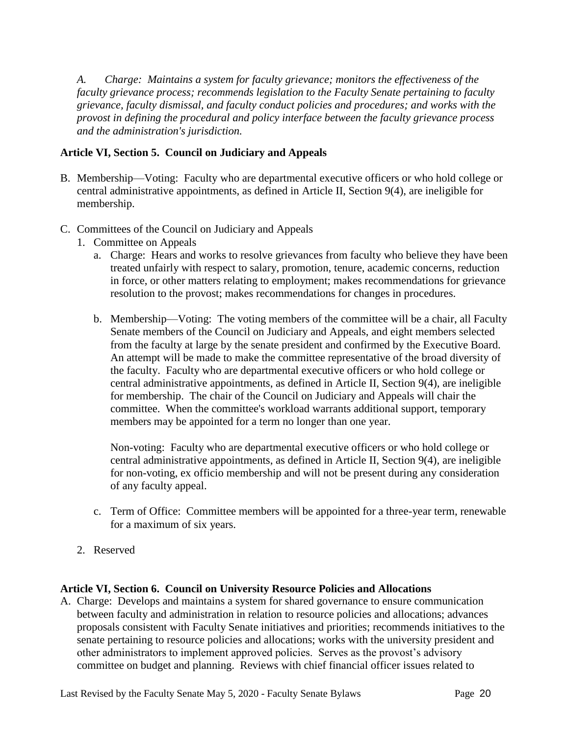*A. Charge: Maintains a system for faculty grievance; monitors the effectiveness of the faculty grievance process; recommends legislation to the Faculty Senate pertaining to faculty grievance, faculty dismissal, and faculty conduct policies and procedures; and works with the provost in defining the procedural and policy interface between the faculty grievance process and the administration's jurisdiction.*

# **Article VI, Section 5. Council on Judiciary and Appeals**

- B. Membership—Voting: Faculty who are departmental executive officers or who hold college or central administrative appointments, as defined in Article II, Section 9(4), are ineligible for membership.
- C. Committees of the Council on Judiciary and Appeals
	- 1. Committee on Appeals
		- a. Charge: Hears and works to resolve grievances from faculty who believe they have been treated unfairly with respect to salary, promotion, tenure, academic concerns, reduction in force, or other matters relating to employment; makes recommendations for grievance resolution to the provost; makes recommendations for changes in procedures.
		- b. Membership—Voting: The voting members of the committee will be a chair, all Faculty Senate members of the Council on Judiciary and Appeals, and eight members selected from the faculty at large by the senate president and confirmed by the Executive Board. An attempt will be made to make the committee representative of the broad diversity of the faculty. Faculty who are departmental executive officers or who hold college or central administrative appointments, as defined in Article II, Section 9(4), are ineligible for membership. The chair of the Council on Judiciary and Appeals will chair the committee. When the committee's workload warrants additional support, temporary members may be appointed for a term no longer than one year.

Non-voting: Faculty who are departmental executive officers or who hold college or central administrative appointments, as defined in Article II, Section 9(4), are ineligible for non-voting, ex officio membership and will not be present during any consideration of any faculty appeal.

- c. Term of Office: Committee members will be appointed for a three-year term, renewable for a maximum of six years.
- 2. Reserved

#### **Article VI, Section 6. Council on University Resource Policies and Allocations**

A. Charge: Develops and maintains a system for shared governance to ensure communication between faculty and administration in relation to resource policies and allocations; advances proposals consistent with Faculty Senate initiatives and priorities; recommends initiatives to the senate pertaining to resource policies and allocations; works with the university president and other administrators to implement approved policies. Serves as the provost's advisory committee on budget and planning. Reviews with chief financial officer issues related to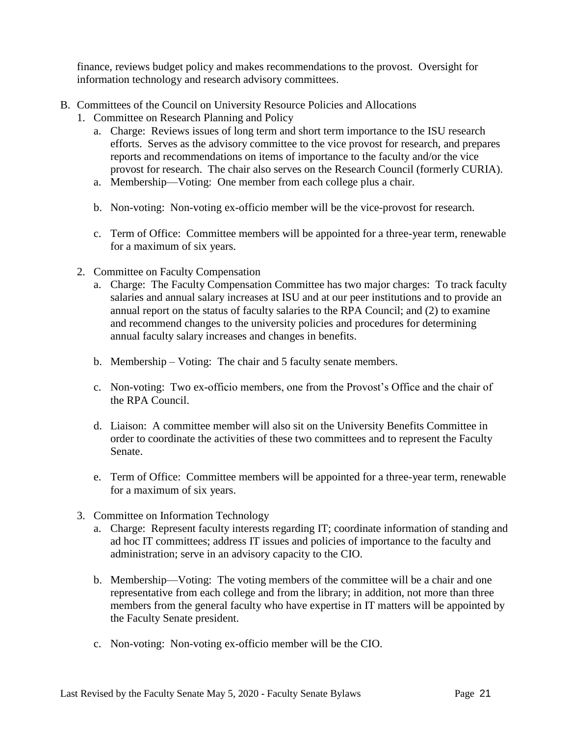finance, reviews budget policy and makes recommendations to the provost. Oversight for information technology and research advisory committees.

- B. Committees of the Council on University Resource Policies and Allocations
	- 1. Committee on Research Planning and Policy
		- a. Charge: Reviews issues of long term and short term importance to the ISU research efforts. Serves as the advisory committee to the vice provost for research, and prepares reports and recommendations on items of importance to the faculty and/or the vice provost for research. The chair also serves on the Research Council (formerly CURIA).
		- a. Membership—Voting: One member from each college plus a chair.
		- b. Non-voting: Non-voting ex-officio member will be the vice-provost for research.
		- c. Term of Office: Committee members will be appointed for a three-year term, renewable for a maximum of six years.
	- 2. Committee on Faculty Compensation
		- a. Charge: The Faculty Compensation Committee has two major charges: To track faculty salaries and annual salary increases at ISU and at our peer institutions and to provide an annual report on the status of faculty salaries to the RPA Council; and (2) to examine and recommend changes to the university policies and procedures for determining annual faculty salary increases and changes in benefits.
		- b. Membership Voting: The chair and 5 faculty senate members.
		- c. Non-voting: Two ex-officio members, one from the Provost's Office and the chair of the RPA Council.
		- d. Liaison: A committee member will also sit on the University Benefits Committee in order to coordinate the activities of these two committees and to represent the Faculty Senate.
		- e. Term of Office: Committee members will be appointed for a three-year term, renewable for a maximum of six years.
	- 3. Committee on Information Technology
		- a. Charge: Represent faculty interests regarding IT; coordinate information of standing and ad hoc IT committees; address IT issues and policies of importance to the faculty and administration; serve in an advisory capacity to the CIO.
		- b. Membership—Voting: The voting members of the committee will be a chair and one representative from each college and from the library; in addition, not more than three members from the general faculty who have expertise in IT matters will be appointed by the Faculty Senate president.
		- c. Non-voting: Non-voting ex-officio member will be the CIO.